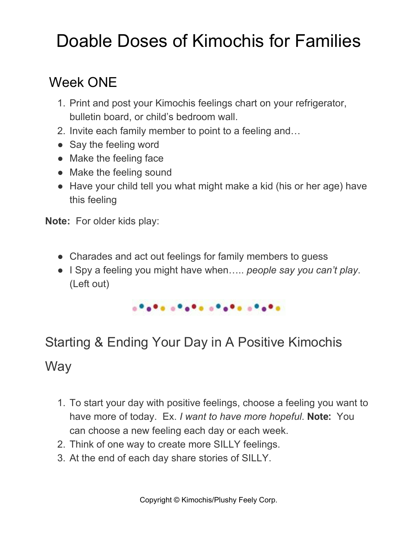# Doable Doses of Kimochis for Families

# Week ONE

- 1. Print and post your Kimochis feelings chart on your refrigerator, bulletin board, or child's bedroom wall.
- 2. Invite each family member to point to a feeling and…
- Say the feeling word
- Make the feeling face
- Make the feeling sound
- Have your child tell you what might make a kid (his or her age) have this feeling

**Note:** For older kids play:

- Charades and act out feelings for family members to guess
- I Spy a feeling you might have when….. *people say you can't play*. (Left out)



# Starting & Ending Your Day in A Positive Kimochis

### **Way**

- 1. To start your day with positive feelings, choose a feeling you want to have more of today. Ex. *I want to have more hopeful*. **Note:** You can choose a new feeling each day or each week.
- 2. Think of one way to create more SILLY feelings.
- 3. At the end of each day share stories of SILLY.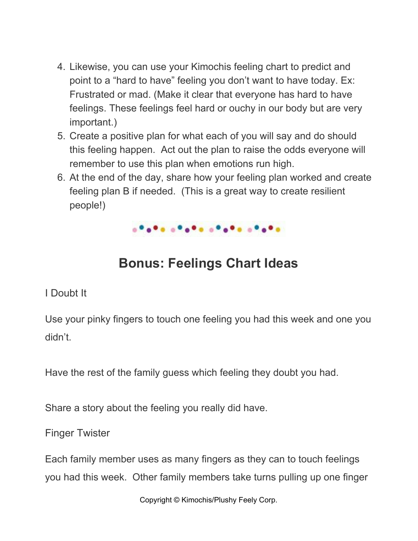- 4. Likewise, you can use your Kimochis feeling chart to predict and point to a "hard to have" feeling you don't want to have today. Ex: Frustrated or mad. (Make it clear that everyone has hard to have feelings. These feelings feel hard or ouchy in our body but are very important.)
- 5. Create a positive plan for what each of you will say and do should this feeling happen. Act out the plan to raise the odds everyone will remember to use this plan when emotions run high.
- 6. At the end of the day, share how your feeling plan worked and create feeling plan B if needed. (This is a great way to create resilient people!)



### **Bonus: Feelings Chart Ideas**

#### I Doubt It

Use your pinky fingers to touch one feeling you had this week and one you didn't.

Have the rest of the family guess which feeling they doubt you had.

Share a story about the feeling you really did have.

Finger Twister

Each family member uses as many fingers as they can to touch feelings you had this week. Other family members take turns pulling up one finger

Copyright © Kimochis/Plushy Feely Corp.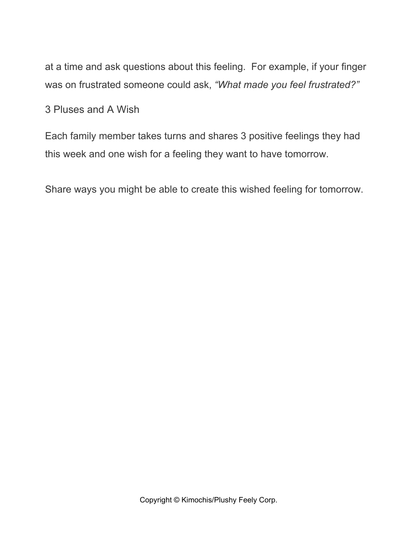at a time and ask questions about this feeling. For example, if your finger was on frustrated someone could ask, *"What made you feel frustrated?"*

3 Pluses and A Wish

Each family member takes turns and shares 3 positive feelings they had this week and one wish for a feeling they want to have tomorrow.

Share ways you might be able to create this wished feeling for tomorrow.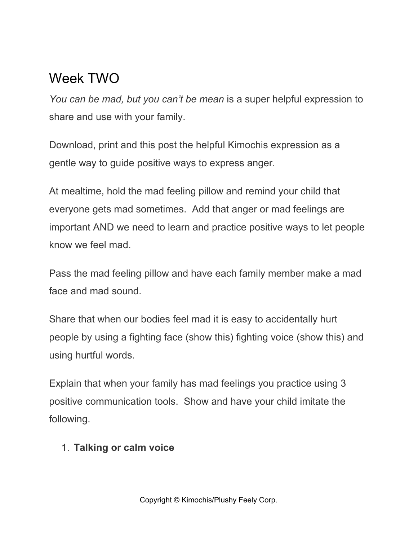## Week TWO

*You can be mad, but you can't be mean* is a super helpful expression to share and use with your family.

Download, print and this post the helpful Kimochis expression as a gentle way to guide positive ways to express anger.

At mealtime, hold the mad feeling pillow and remind your child that everyone gets mad sometimes. Add that anger or mad feelings are important AND we need to learn and practice positive ways to let people know we feel mad.

Pass the mad feeling pillow and have each family member make a mad face and mad sound.

Share that when our bodies feel mad it is easy to accidentally hurt people by using a fighting face (show this) fighting voice (show this) and using hurtful words.

Explain that when your family has mad feelings you practice using 3 positive communication tools. Show and have your child imitate the following.

#### 1. **Talking or calm voice**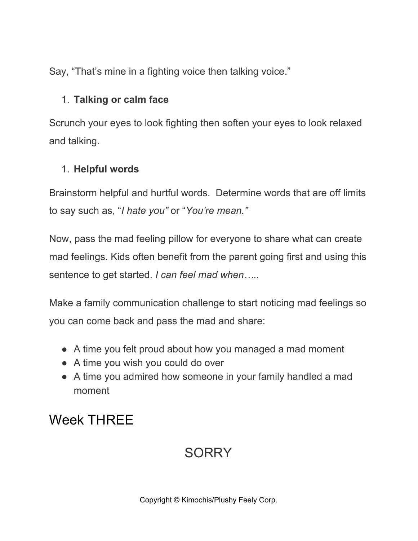Say, "That's mine in a fighting voice then talking voice."

#### 1. **Talking or calm face**

Scrunch your eyes to look fighting then soften your eyes to look relaxed and talking.

#### 1. **Helpful words**

Brainstorm helpful and hurtful words. Determine words that are off limits to say such as, "*I hate you"* or "*You're mean."*

Now, pass the mad feeling pillow for everyone to share what can create mad feelings. Kids often benefit from the parent going first and using this sentence to get started. *I can feel mad when…..*

Make a family communication challenge to start noticing mad feelings so you can come back and pass the mad and share:

- A time you felt proud about how you managed a mad moment
- A time you wish you could do over
- A time you admired how someone in your family handled a mad moment

# Week THREE

# **SORRY**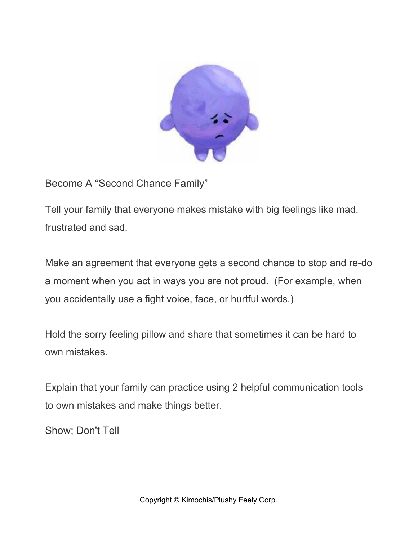

Become A "Second Chance Family"

Tell your family that everyone makes mistake with big feelings like mad, frustrated and sad.

Make an agreement that everyone gets a second chance to stop and re-do a moment when you act in ways you are not proud. (For example, when you accidentally use a fight voice, face, or hurtful words.)

Hold the sorry feeling pillow and share that sometimes it can be hard to own mistakes.

Explain that your family can practice using 2 helpful communication tools to own mistakes and make things better.

Show; Don't Tell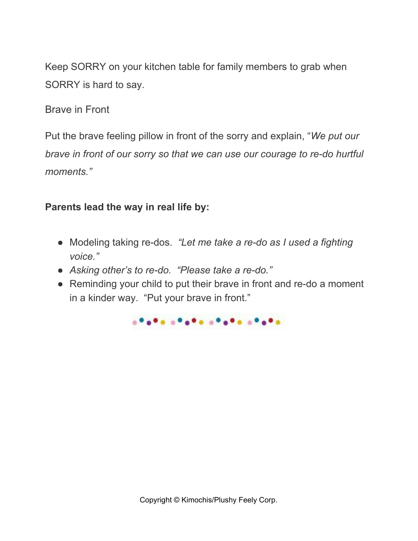Keep SORRY on your kitchen table for family members to grab when SORRY is hard to say.

Brave in Front

Put the brave feeling pillow in front of the sorry and explain, "*We put our brave in front of our sorry so that we can use our courage to re-do hurtful moments."*

#### **Parents lead the way in real life by:**

- Modeling taking re-dos. *"Let me take a re-do as I used a fighting voice."*
- *Asking other's to re-do. "Please take a re-do."*
- Reminding your child to put their brave in front and re-do a moment in a kinder way. "Put your brave in front."

anana anana anana anana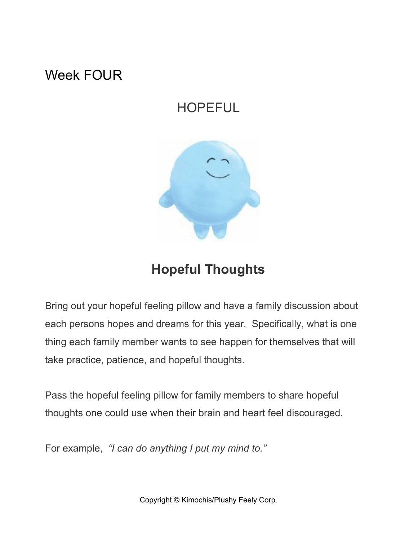### Week FOUR

## HOPEFUL



## **Hopeful Thoughts**

Bring out your hopeful feeling pillow and have a family discussion about each persons hopes and dreams for this year. Specifically, what is one thing each family member wants to see happen for themselves that will take practice, patience, and hopeful thoughts.

Pass the hopeful feeling pillow for family members to share hopeful thoughts one could use when their brain and heart feel discouraged.

For example, *"I can do anything I put my mind to."*

Copyright © Kimochis/Plushy Feely Corp.